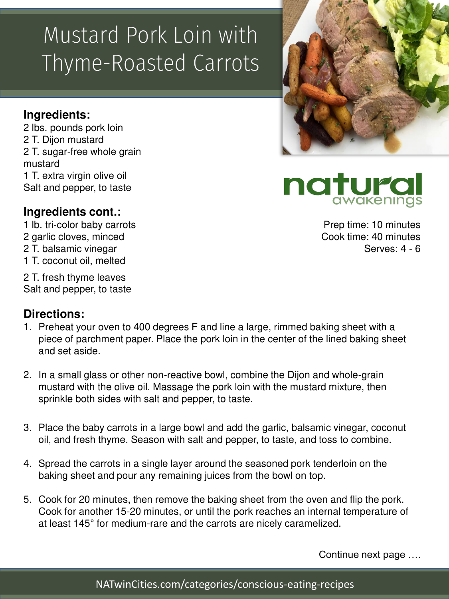# Mustard Pork Loin with Thyme-Roasted Carrots

### **Ingredients:**

2 lbs. pounds pork loin 2 T. Dijon mustard 2 T. sugar-free whole grain mustard 1 T. extra virgin olive oil Salt and pepper, to taste

#### **Ingredients cont.:**

1 lb. tri-color baby carrots 2 garlic cloves, minced 2 T. balsamic vinegar 1 T. coconut oil, melted

2 T. fresh thyme leaves Salt and pepper, to taste

#### **Directions:**

- 1. Preheat your oven to 400 degrees F and line a large, rimmed baking sheet with a piece of parchment paper. Place the pork loin in the center of the lined baking sheet and set aside.
- 2. In a small glass or other non-reactive bowl, combine the Dijon and whole-grain mustard with the olive oil. Massage the pork loin with the mustard mixture, then sprinkle both sides with salt and pepper, to taste.
- 3. Place the baby carrots in a large bowl and add the garlic, balsamic vinegar, coconut oil, and fresh thyme. Season with salt and pepper, to taste, and toss to combine.
- 4. Spread the carrots in a single layer around the seasoned pork tenderloin on the baking sheet and pour any remaining juices from the bowl on top.
- 5. Cook for 20 minutes, then remove the baking sheet from the oven and flip the pork. Cook for another 15-20 minutes, or until the pork reaches an internal temperature of at least 145° for medium-rare and the carrots are nicely caramelized.

Continue next page ….





natura

Prep time: 10 minutes Cook time: 40 minutes Serves: 4 - 6